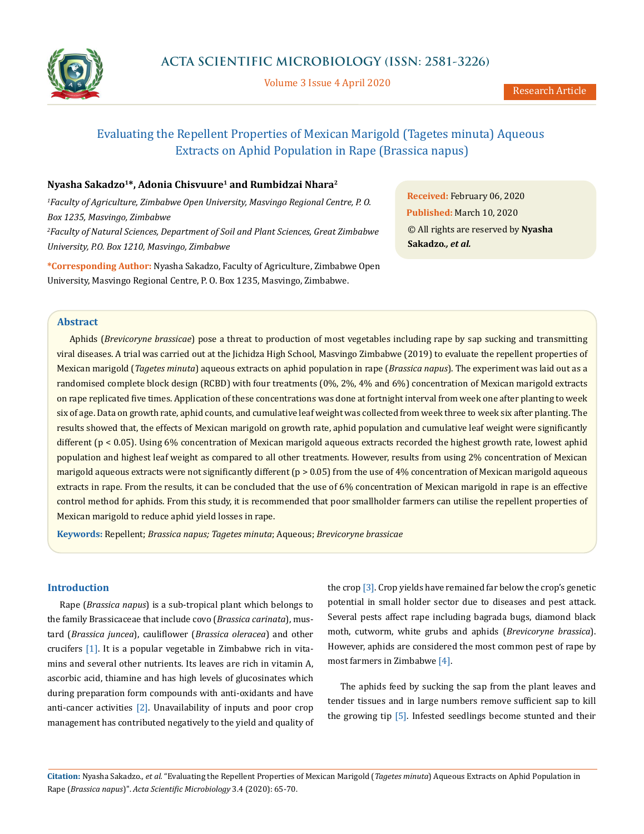

Volume 3 Issue 4 April 2020

# Evaluating the Repellent Properties of Mexican Marigold (Tagetes minuta) Aqueous Extracts on Aphid Population in Rape (Brassica napus)

## **Nyasha Sakadzo1\*, Adonia Chisvuure1 and Rumbidzai Nhara2**

*1 Faculty of Agriculture, Zimbabwe Open University, Masvingo Regional Centre, P. O. Box 1235, Masvingo, Zimbabwe 2 Faculty of Natural Sciences, Department of Soil and Plant Sciences, Great Zimbabwe University, P.O. Box 1210, Masvingo, Zimbabwe*

**\*Corresponding Author:** Nyasha Sakadzo, Faculty of Agriculture, Zimbabwe Open University, Masvingo Regional Centre, P. O. Box 1235, Masvingo, Zimbabwe.

**Received:** February 06, 2020 **Published:** March 10, 2020 © All rights are reserved by **Nyasha Sakadzo***., et al.*

## **Abstract**

Aphids (*Brevicoryne brassicae*) pose a threat to production of most vegetables including rape by sap sucking and transmitting viral diseases. A trial was carried out at the Jichidza High School, Masvingo Zimbabwe (2019) to evaluate the repellent properties of Mexican marigold (*Tagetes minuta*) aqueous extracts on aphid population in rape (*Brassica napus*). The experiment was laid out as a randomised complete block design (RCBD) with four treatments (0%, 2%, 4% and 6%) concentration of Mexican marigold extracts on rape replicated five times. Application of these concentrations was done at fortnight interval from week one after planting to week six of age. Data on growth rate, aphid counts, and cumulative leaf weight was collected from week three to week six after planting. The results showed that, the effects of Mexican marigold on growth rate, aphid population and cumulative leaf weight were significantly different (p < 0.05). Using 6% concentration of Mexican marigold aqueous extracts recorded the highest growth rate, lowest aphid population and highest leaf weight as compared to all other treatments. However, results from using 2% concentration of Mexican marigold aqueous extracts were not significantly different (p > 0.05) from the use of 4% concentration of Mexican marigold aqueous extracts in rape. From the results, it can be concluded that the use of 6% concentration of Mexican marigold in rape is an effective control method for aphids. From this study, it is recommended that poor smallholder farmers can utilise the repellent properties of Mexican marigold to reduce aphid yield losses in rape.

**Keywords:** Repellent; *Brassica napus; Tagetes minuta*; Aqueous; *Brevicoryne brassicae*

#### **Introduction**

Rape (*Brassica napus*) is a sub-tropical plant which belongs to the family Brassicaceae that include covo (*Brassica carinata*), mustard (*Brassica juncea*), cauliflower (*Brassica oleracea*) and other crucifers [1]. It is a popular vegetable in Zimbabwe rich in vitamins and several other nutrients. Its leaves are rich in vitamin A, ascorbic acid, thiamine and has high levels of glucosinates which during preparation form compounds with anti-oxidants and have anti-cancer activities [2]. Unavailability of inputs and poor crop management has contributed negatively to the yield and quality of the crop [3]. Crop yields have remained far below the crop's genetic potential in small holder sector due to diseases and pest attack. Several pests affect rape including bagrada bugs, diamond black moth, cutworm, white grubs and aphids (*Brevicoryne brassica*). However, aphids are considered the most common pest of rape by most farmers in Zimbabwe [4].

The aphids feed by sucking the sap from the plant leaves and tender tissues and in large numbers remove sufficient sap to kill the growing tip [5]. Infested seedlings become stunted and their

**Citation:** Nyasha Sakadzo*., et al.* "Evaluating the Repellent Properties of Mexican Marigold (*Tagetes minuta*) Aqueous Extracts on Aphid Population in Rape (*Brassica napus*)". *Acta Scientific Microbiology* 3.4 (2020): 65-70.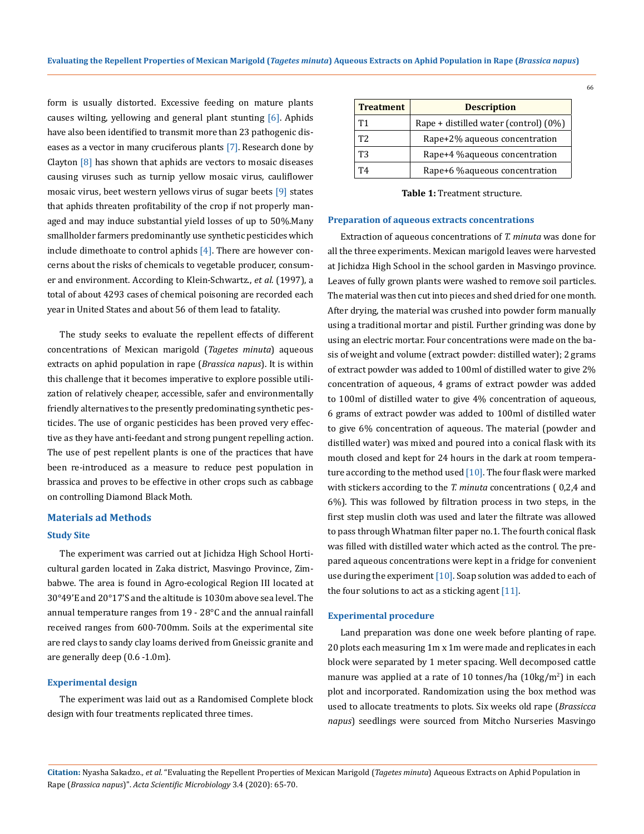form is usually distorted. Excessive feeding on mature plants causes wilting, yellowing and general plant stunting [6]. Aphids have also been identified to transmit more than 23 pathogenic diseases as a vector in many cruciferous plants [7]. Research done by Clayton  $[8]$  has shown that aphids are vectors to mosaic diseases causing viruses such as turnip yellow mosaic virus, cauliflower mosaic virus, beet western yellows virus of sugar beets [9] states that aphids threaten profitability of the crop if not properly managed and may induce substantial yield losses of up to 50%.Many smallholder farmers predominantly use synthetic pesticides which include dimethoate to control aphids [4]. There are however concerns about the risks of chemicals to vegetable producer, consumer and environment. According to Klein-Schwartz., *et al.* (1997), a total of about 4293 cases of chemical poisoning are recorded each year in United States and about 56 of them lead to fatality.

The study seeks to evaluate the repellent effects of different concentrations of Mexican marigold (*Tagetes minuta*) aqueous extracts on aphid population in rape (*Brassica napus*). It is within this challenge that it becomes imperative to explore possible utilization of relatively cheaper, accessible, safer and environmentally friendly alternatives to the presently predominating synthetic pesticides. The use of organic pesticides has been proved very effective as they have anti-feedant and strong pungent repelling action. The use of pest repellent plants is one of the practices that have been re-introduced as a measure to reduce pest population in brassica and proves to be effective in other crops such as cabbage on controlling Diamond Black Moth.

#### **Materials ad Methods**

#### **Study Site**

The experiment was carried out at Jichidza High School Horticultural garden located in Zaka district, Masvingo Province, Zimbabwe. The area is found in Agro-ecological Region III located at 30°49'E and 20°17'S and the altitude is 1030m above sea level. The annual temperature ranges from 19 - 28°C and the annual rainfall received ranges from 600-700mm. Soils at the experimental site are red clays to sandy clay loams derived from Gneissic granite and are generally deep (0.6 -1.0m).

#### **Experimental design**

The experiment was laid out as a Randomised Complete block design with four treatments replicated three times.

| <b>Treatment</b> | <b>Description</b>                    |
|------------------|---------------------------------------|
| Τ1               | Rape + distilled water (control) (0%) |
| T <sub>2</sub>   | Rape+2% aqueous concentration         |
| T3               | Rape+4 % aqueous concentration        |
| T4               | Rape+6 % aqueous concentration        |

**Table 1:** Treatment structure.

#### **Preparation of aqueous extracts concentrations**

Extraction of aqueous concentrations of *T. minuta* was done for all the three experiments. Mexican marigold leaves were harvested at Jichidza High School in the school garden in Masvingo province. Leaves of fully grown plants were washed to remove soil particles. The material was then cut into pieces and shed dried for one month. After drying, the material was crushed into powder form manually using a traditional mortar and pistil. Further grinding was done by using an electric mortar. Four concentrations were made on the basis of weight and volume (extract powder: distilled water); 2 grams of extract powder was added to 100ml of distilled water to give 2% concentration of aqueous, 4 grams of extract powder was added to 100ml of distilled water to give 4% concentration of aqueous, 6 grams of extract powder was added to 100ml of distilled water to give 6% concentration of aqueous. The material (powder and distilled water) was mixed and poured into a conical flask with its mouth closed and kept for 24 hours in the dark at room temperature according to the method used  $[10]$ . The four flask were marked with stickers according to the *T. minuta* concentrations ( 0,2,4 and 6%). This was followed by filtration process in two steps, in the first step muslin cloth was used and later the filtrate was allowed to pass through Whatman filter paper no.1. The fourth conical flask was filled with distilled water which acted as the control. The prepared aqueous concentrations were kept in a fridge for convenient use during the experiment  $[10]$ . Soap solution was added to each of the four solutions to act as a sticking agent [11].

#### **Experimental procedure**

Land preparation was done one week before planting of rape. 20 plots each measuring 1m x 1m were made and replicates in each block were separated by 1 meter spacing. Well decomposed cattle manure was applied at a rate of 10 tonnes/ha (10kg/m<sup>2</sup>) in each plot and incorporated. Randomization using the box method was used to allocate treatments to plots. Six weeks old rape (*Brassicca napus*) seedlings were sourced from Mitcho Nurseries Masvingo

**Citation:** Nyasha Sakadzo*., et al.* "Evaluating the Repellent Properties of Mexican Marigold (*Tagetes minuta*) Aqueous Extracts on Aphid Population in Rape (*Brassica napus*)". *Acta Scientific Microbiology* 3.4 (2020): 65-70.

66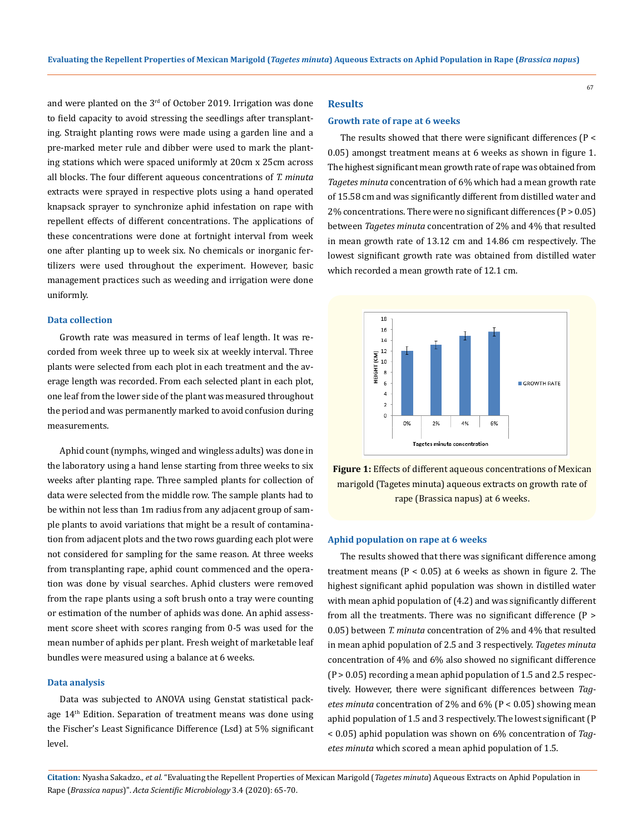and were planted on the  $3<sup>rd</sup>$  of October 2019. Irrigation was done to field capacity to avoid stressing the seedlings after transplanting. Straight planting rows were made using a garden line and a pre-marked meter rule and dibber were used to mark the planting stations which were spaced uniformly at 20cm x 25cm across all blocks. The four different aqueous concentrations of *T. minuta*  extracts were sprayed in respective plots using a hand operated knapsack sprayer to synchronize aphid infestation on rape with repellent effects of different concentrations. The applications of these concentrations were done at fortnight interval from week one after planting up to week six. No chemicals or inorganic fertilizers were used throughout the experiment. However, basic management practices such as weeding and irrigation were done uniformly.

#### **Data collection**

Growth rate was measured in terms of leaf length. It was recorded from week three up to week six at weekly interval. Three plants were selected from each plot in each treatment and the average length was recorded. From each selected plant in each plot, one leaf from the lower side of the plant was measured throughout the period and was permanently marked to avoid confusion during measurements.

Aphid count (nymphs, winged and wingless adults) was done in the laboratory using a hand lense starting from three weeks to six weeks after planting rape. Three sampled plants for collection of data were selected from the middle row. The sample plants had to be within not less than 1m radius from any adjacent group of sample plants to avoid variations that might be a result of contamination from adjacent plots and the two rows guarding each plot were not considered for sampling for the same reason. At three weeks from transplanting rape, aphid count commenced and the operation was done by visual searches. Aphid clusters were removed from the rape plants using a soft brush onto a tray were counting or estimation of the number of aphids was done. An aphid assessment score sheet with scores ranging from 0-5 was used for the mean number of aphids per plant. Fresh weight of marketable leaf bundles were measured using a balance at 6 weeks.

#### **Data analysis**

Data was subjected to ANOVA using Genstat statistical package 14<sup>th</sup> Edition. Separation of treatment means was done using the Fischer's Least Significance Difference (Lsd) at 5% significant level.

## **Results**

#### **Growth rate of rape at 6 weeks**

The results showed that there were significant differences (P < 0.05) amongst treatment means at 6 weeks as shown in figure 1. The highest significant mean growth rate of rape was obtained from *Tagetes minuta* concentration of 6% which had a mean growth rate of 15.58 cm and was significantly different from distilled water and  $2\%$  concentrations. There were no significant differences (P  $> 0.05$ ) between *Tagetes minuta* concentration of 2% and 4% that resulted in mean growth rate of 13.12 cm and 14.86 cm respectively. The lowest significant growth rate was obtained from distilled water which recorded a mean growth rate of 12.1 cm.

67



**Figure 1:** Effects of different aqueous concentrations of Mexican marigold (Tagetes minuta) aqueous extracts on growth rate of rape (Brassica napus) at 6 weeks.

#### **Aphid population on rape at 6 weeks**

The results showed that there was significant difference among treatment means ( $P < 0.05$ ) at 6 weeks as shown in figure 2. The highest significant aphid population was shown in distilled water with mean aphid population of (4.2) and was significantly different from all the treatments. There was no significant difference (P > 0.05) between *T. minuta* concentration of 2% and 4% that resulted in mean aphid population of 2.5 and 3 respectively. *Tagetes minuta* concentration of 4% and 6% also showed no significant difference (P > 0.05) recording a mean aphid population of 1.5 and 2.5 respectively. However, there were significant differences between *Tagetes minuta* concentration of 2% and 6% (P < 0.05) showing mean aphid population of 1.5 and 3 respectively. The lowest significant (P < 0.05) aphid population was shown on 6% concentration of *Tagetes minuta* which scored a mean aphid population of 1.5.

**Citation:** Nyasha Sakadzo*., et al.* "Evaluating the Repellent Properties of Mexican Marigold (*Tagetes minuta*) Aqueous Extracts on Aphid Population in Rape (*Brassica napus*)". *Acta Scientific Microbiology* 3.4 (2020): 65-70.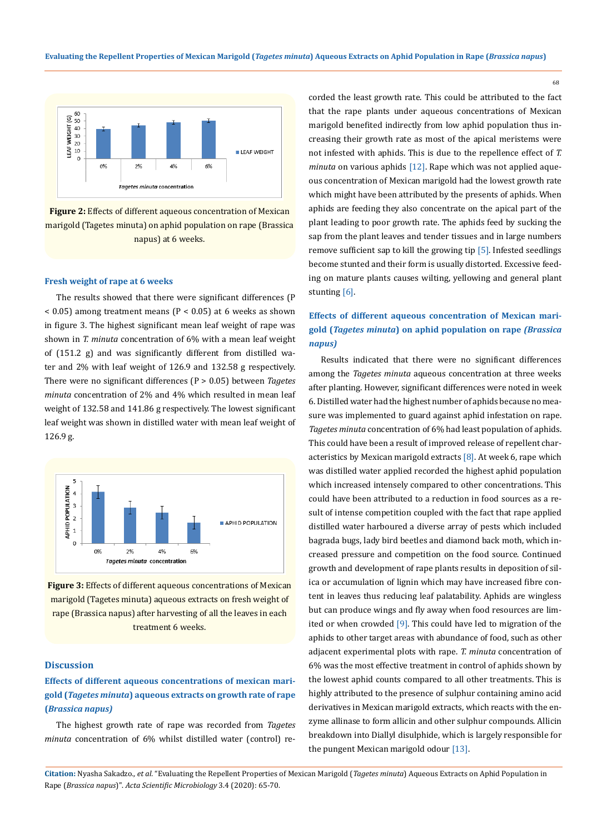

**Figure 2:** Effects of different aqueous concentration of Mexican marigold (Tagetes minuta) on aphid population on rape (Brassica napus) at 6 weeks.

#### **Fresh weight of rape at 6 weeks**

The results showed that there were significant differences (P  $<$  0.05) among treatment means (P  $<$  0.05) at 6 weeks as shown in figure 3. The highest significant mean leaf weight of rape was shown in *T. minuta* concentration of 6% with a mean leaf weight of (151.2 g) and was significantly different from distilled water and 2% with leaf weight of 126.9 and 132.58 g respectively. There were no significant differences (P > 0.05) between *Tagetes minuta* concentration of 2% and 4% which resulted in mean leaf weight of 132.58 and 141.86 g respectively. The lowest significant leaf weight was shown in distilled water with mean leaf weight of 126.9 g.



**Figure 3:** Effects of different aqueous concentrations of Mexican marigold (Tagetes minuta) aqueous extracts on fresh weight of rape (Brassica napus) after harvesting of all the leaves in each treatment 6 weeks.

## **Discussion**

## **Effects of different aqueous concentrations of mexican marigold (***Tagetes minuta***) aqueous extracts on growth rate of rape (***Brassica napus)*

The highest growth rate of rape was recorded from *Tagetes minuta* concentration of 6% whilst distilled water (control) re-

corded the least growth rate. This could be attributed to the fact that the rape plants under aqueous concentrations of Mexican marigold benefited indirectly from low aphid population thus increasing their growth rate as most of the apical meristems were not infested with aphids. This is due to the repellence effect of *T. minuta* on various aphids [12]. Rape which was not applied aqueous concentration of Mexican marigold had the lowest growth rate which might have been attributed by the presents of aphids. When aphids are feeding they also concentrate on the apical part of the plant leading to poor growth rate. The aphids feed by sucking the sap from the plant leaves and tender tissues and in large numbers remove sufficient sap to kill the growing tip  $[5]$ . Infested seedlings become stunted and their form is usually distorted. Excessive feeding on mature plants causes wilting, yellowing and general plant stunting [6].

## **Effects of different aqueous concentration of Mexican marigold (***Tagetes minuta***) on aphid population on rape** *(Brassica napus)*

Results indicated that there were no significant differences among the *Tagetes minuta* aqueous concentration at three weeks after planting. However, significant differences were noted in week 6. Distilled water had the highest number of aphids because no measure was implemented to guard against aphid infestation on rape. *Tagetes minuta* concentration of 6% had least population of aphids. This could have been a result of improved release of repellent characteristics by Mexican marigold extracts  $[8]$ . At week 6, rape which was distilled water applied recorded the highest aphid population which increased intensely compared to other concentrations. This could have been attributed to a reduction in food sources as a result of intense competition coupled with the fact that rape applied distilled water harboured a diverse array of pests which included bagrada bugs, lady bird beetles and diamond back moth, which increased pressure and competition on the food source. Continued growth and development of rape plants results in deposition of silica or accumulation of lignin which may have increased fibre content in leaves thus reducing leaf palatability. Aphids are wingless but can produce wings and fly away when food resources are limited or when crowded [9]. This could have led to migration of the aphids to other target areas with abundance of food, such as other adjacent experimental plots with rape. *T. minuta* concentration of 6% was the most effective treatment in control of aphids shown by the lowest aphid counts compared to all other treatments. This is highly attributed to the presence of sulphur containing amino acid derivatives in Mexican marigold extracts, which reacts with the enzyme allinase to form allicin and other sulphur compounds. Allicin breakdown into Diallyl disulphide, which is largely responsible for the pungent Mexican marigold odour [13].

**Citation:** Nyasha Sakadzo*., et al.* "Evaluating the Repellent Properties of Mexican Marigold (*Tagetes minuta*) Aqueous Extracts on Aphid Population in Rape (*Brassica napus*)". *Acta Scientific Microbiology* 3.4 (2020): 65-70.

68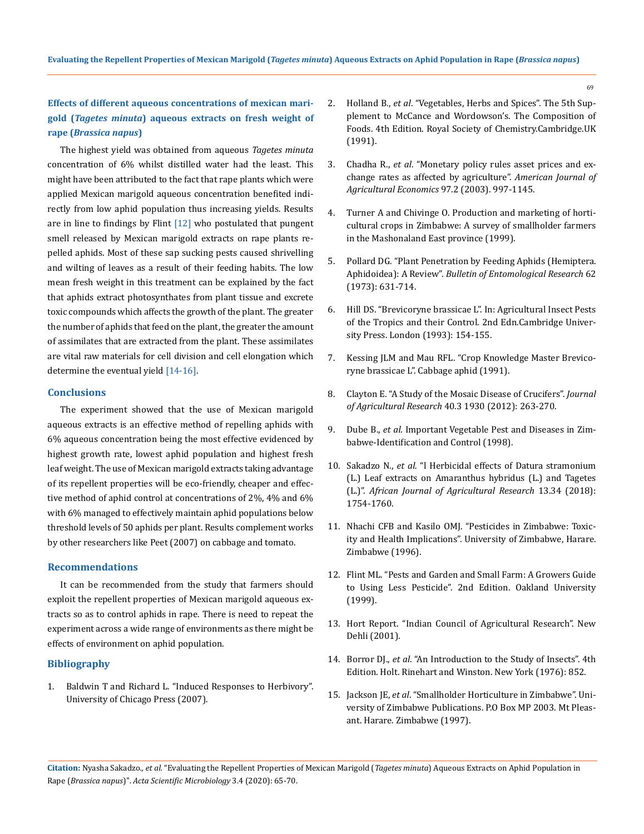## **Effects of different aqueous concentrations of mexican marigold (***Tagetes minuta***) aqueous extracts on fresh weight of rape (***Brassica napus***)**

The highest yield was obtained from aqueous *Tagetes minuta* concentration of 6% whilst distilled water had the least. This might have been attributed to the fact that rape plants which were applied Mexican marigold aqueous concentration benefited indirectly from low aphid population thus increasing yields. Results are in line to findings by Flint [12] who postulated that pungent smell released by Mexican marigold extracts on rape plants repelled aphids. Most of these sap sucking pests caused shrivelling and wilting of leaves as a result of their feeding habits. The low mean fresh weight in this treatment can be explained by the fact that aphids extract photosynthates from plant tissue and excrete toxic compounds which affects the growth of the plant. The greater the number of aphids that feed on the plant, the greater the amount of assimilates that are extracted from the plant. These assimilates are vital raw materials for cell division and cell elongation which determine the eventual yield [14-16].

### **Conclusions**

The experiment showed that the use of Mexican marigold aqueous extracts is an effective method of repelling aphids with 6% aqueous concentration being the most effective evidenced by highest growth rate, lowest aphid population and highest fresh leaf weight. The use of Mexican marigold extracts taking advantage of its repellent properties will be eco-friendly, cheaper and effective method of aphid control at concentrations of 2%, 4% and 6% with 6% managed to effectively maintain aphid populations below threshold levels of 50 aphids per plant. Results complement works by other researchers like Peet (2007) on cabbage and tomato.

### **Recommendations**

It can be recommended from the study that farmers should exploit the repellent properties of Mexican marigold aqueous extracts so as to control aphids in rape. There is need to repeat the experiment across a wide range of environments as there might be effects of environment on aphid population.

#### **Bibliography**

1. Baldwin T and Richard L. "Induced Responses to Herbivory". University of Chicago Press (2007).

- 2. Holland B., *et al*. "Vegetables, Herbs and Spices". The 5th Supplement to McCance and Wordowson's. The Composition of Foods. 4th Edition. Royal Society of Chemistry.Cambridge.UK (1991).
- 3. Chadha R., *et al*[. "Monetary policy rules asset prices and ex](https://ideas.repec.org/p/san/cdmawp/0403.html)[change rates as affected by agriculture".](https://ideas.repec.org/p/san/cdmawp/0403.html) *American Journal of [Agricultural Economics](https://ideas.repec.org/p/san/cdmawp/0403.html)* 97.2 (2003). 997-1145.
- 4. Turner A and Chivinge O. Production and marketing of horticultural crops in Zimbabwe: A survey of smallholder farmers in the Mashonaland East province (1999).
- 5. [Pollard DG. "Plant Penetration by Feeding Aphids \(Hemiptera.](https://www.cambridge.org/core/journals/bulletin-of-entomological-research/article/plant-penetration-by-feeding-aphids-hemiptera-aphidoidea-a-review/97D3E210D99A25C61E074F960C636CA7) Aphidoidea): A Review". *[Bulletin of Entomological Research](https://www.cambridge.org/core/journals/bulletin-of-entomological-research/article/plant-penetration-by-feeding-aphids-hemiptera-aphidoidea-a-review/97D3E210D99A25C61E074F960C636CA7)* 62 [\(1973\): 631-714.](https://www.cambridge.org/core/journals/bulletin-of-entomological-research/article/plant-penetration-by-feeding-aphids-hemiptera-aphidoidea-a-review/97D3E210D99A25C61E074F960C636CA7)
- 6. Hill DS. "Brevicoryne brassicae L". In: Agricultural Insect Pests of the Tropics and their Control. 2nd Edn.Cambridge University Press. London (1993): 154-155.
- 7. Kessing JLM and Mau RFL. "Crop Knowledge Master Brevicoryne brassicae L". Cabbage aphid (1991).
- 8. Clayton E. "A Study of the Mosaic Disease of Crucifers". *Journal of Agricultural Research* 40.3 1930 (2012): 263-270.
- 9. Dube B., *et al*. Important Vegetable Pest and Diseases in Zimbabwe-Identification and Control (1998).
- 10. Sakadzo N., *et al.* "l Herbicidal effects of Datura stramonium (L.) Leaf extracts on Amaranthus hybridus (L.) and Tagetes (L.)". *African Journal of Agricultural Research* 13.34 (2018): 1754-1760.
- 11. Nhachi CFB and Kasilo OMJ. "Pesticides in Zimbabwe: Toxicity and Health Implications". University of Zimbabwe, Harare. Zimbabwe (1996).
- 12. Flint ML. "Pests and Garden and Small Farm: A Growers Guide to Using Less Pesticide". 2nd Edition. Oakland University (1999).
- 13. Hort Report. "Indian Council of Agricultural Research". New Dehli (2001).
- 14. Borror DJ., *et al*. "An Introduction to the Study of Insects". 4th Edition. Holt. Rinehart and Winston. New York (1976): 852.
- 15. Jackson JE, *et al*. "Smallholder Horticulture in Zimbabwe". University of Zimbabwe Publications. P.O Box MP 2003. Mt Pleasant. Harare. Zimbabwe (1997).

**Citation:** Nyasha Sakadzo*., et al.* "Evaluating the Repellent Properties of Mexican Marigold (*Tagetes minuta*) Aqueous Extracts on Aphid Population in Rape (*Brassica napus*)". *Acta Scientific Microbiology* 3.4 (2020): 65-70.

69